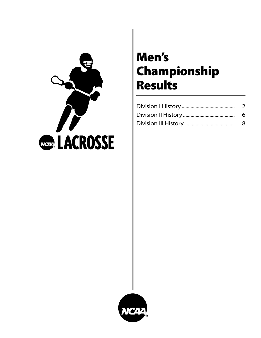

# Men's Championship Results

| 2 |
|---|
| 6 |
| 8 |

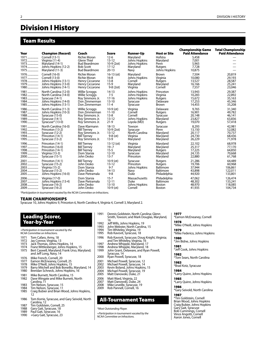## Division I History

### Team Results

| Year | <b>Champion (Record)</b> | Coach                  | Score        | Runner-Up      | <b>Host or Site</b> | <b>Championship Game</b><br><b>Paid Attendance</b> | <b>Total Championship</b><br><b>Paid Attendance</b> |
|------|--------------------------|------------------------|--------------|----------------|---------------------|----------------------------------------------------|-----------------------------------------------------|
| 1971 | Cornell (13-1)           | <b>Richie Moran</b>    | $12 - 6$     | Maryland       | Hofstra             | 5,458                                              |                                                     |
| 1972 | Virginia (11-4)          | <b>Glenn Thiel</b>     | $13 - 12$    | Johns Hopkins  | Maryland            | 7,001                                              |                                                     |
| 1973 | Maryland (14-1)          | <b>Bud Beardmore</b>   | $10-9(20t)$  | Johns Hopkins  | Penn                | 5,965                                              |                                                     |
| 1974 | Johns Hopkins (12-2)     | <b>Bob Scott</b>       | $17-12$      | Maryland       | Rutgers             | 7.728                                              |                                                     |
| 1975 | Maryland (11-3)          | <b>Bud Beardmore</b>   | $20 - 13$    | Navy           | Johns Hopkins       | 10,875                                             |                                                     |
| 1976 | Cornell (16-0)           | <b>Richie Moran</b>    | $16-13$ (ot) | Maryland       | <b>Brown</b>        | 7,504                                              | 20,819                                              |
| 1977 | Cornell (13-0)           | <b>Richie Moran</b>    | $16 - 8$     | Johns Hopkins  | Virginia            | 10,080                                             | 29,193                                              |
| 1978 | Johns Hopkins (13-1)     | <b>Henry Ciccarone</b> | $13-8$       | Cornell        | Rutgers             | 13,527                                             | 28,587                                              |
| 1979 | Johns Hopkins (13-0)     | Henry Ciccarone        | $15-9$       | Maryland       | Maryland            | 16,166                                             | 25,241                                              |
| 1980 | Johns Hopkins (14-1)     | Henry Ciccarone        | $9-8(2ot)$   | Virginia       | Cornell             | 7,557                                              | 23,046                                              |
| 1981 | North Carolina (12-0)    | <b>Willie Scroggs</b>  | $14-13$      | Johns Hopkins  | Princeton           | 13,943                                             | 29,387                                              |
| 1982 | North Carolina (14-0)    | <b>Willie Scroggs</b>  | $7 - 5$      | Johns Hopkins  | Virginia            | 10,283                                             | 22,892                                              |
| 1983 | Syracuse (14-1)          | Roy Simmons Jr.        | $17 - 16$    | Johns Hopkins  | Rutgers             | 15,672                                             | 35,163                                              |
| 1984 | Johns Hopkins (14-0)     | Don Zimmerman          | $13 - 10$    | Syracuse       | Delaware            | 17,253                                             | 45,346                                              |
| 1985 | Johns Hopkins (13-1)     | Don Zimmerman          | $11 - 4$     | Syracuse       | <b>Brown</b>        | 14,455                                             | 35,208                                              |
| 1986 | North Carolina (11-3)    | <b>Willie Scroggs</b>  | $10-9$ (ot)  | Virginia       | Delaware            | 9,765                                              | 31,340                                              |
| 1987 | Johns Hopkins (10-3)     | Don Zimmerman          | $11 - 10$    | Cornell        | Rutgers             | 16,901                                             | 49.782                                              |
| 1988 | Syracuse (15-0)          | Roy Simmons Jr.        | $13 - 8$     | Cornell        | Syracuse            | 20,148                                             | 46,141                                              |
| 1989 | Syracuse (14-1)          | Roy Simmons Jr.        | $13 - 12$    | Johns Hopkins  | Maryland            | 23,827                                             | 63,836                                              |
| 1990 | Syracuse* (13-0)         | Roy Simmons Jr.        | $21-9$       | Loyola (MD)    | Rutgers             | 19,070                                             | 57,418                                              |
| 1991 | North Carolina (16-0)    | Dave Klarmann          | $18-13$      | Towson         | Syracuse            | 8,293                                              | 42,981                                              |
| 1992 | Princeton (13-2)         | <b>Bill Tierney</b>    | $10-9(20t)$  | Syracuse       | Penn                | 13,150                                             | 52,082                                              |
| 1993 | Syracuse (12-2)          | Roy Simmons Jr.        | $13 - 12$    | North Carolina | Maryland            | 20,117                                             | 70.737                                              |
| 1994 | Princeton (14-1)         | <b>Bill Tierney</b>    | $9-8$ (ot)   | Virginia       | Maryland            | 24,730                                             | 68,436                                              |
| 1995 | Syracuse (13-2)          | Roy Simmons Jr.        | $13-9$       | Maryland       | Maryland            | 26,229                                             | 71,978                                              |
| 1996 | Princeton (14-1)         | <b>Bill Tierney</b>    | $13-12$ (ot) | Virginia       | Maryland            | 22,102                                             | 68,978                                              |
| 1997 | Princeton (16-0)         | <b>Bill Tierney</b>    | $19 - 7$     | Maryland       | Maryland            | 25,317                                             | 77,170                                              |
| 1998 | Princeton (14-1)         | <b>Bill Tierney</b>    | $15 - 5$     | Maryland       | Rutgers             | 17,225                                             | 64,850                                              |
| 1999 | Virginia (13-3)          | Dom Starsia            | $12 - 10$    | Syracuse       | Maryland            | 24,135                                             | 70,668                                              |
| 2000 | Syracuse (15-1)          | John Desko             | $13 - 7$     | Princeton      | Maryland            | 22,880                                             | 61,768                                              |
| 2001 | Princeton (14-1)         | <b>Bill Tierney</b>    | $10-9$ (ot)  | Syracuse       | Rutgers             | 21,286                                             | 64,489                                              |
| 2002 | Syracuse (15-2)          | John Desko             | $13 - 12$    | Princeton      | Rutgers             | 19,706                                             | 60,968                                              |
| 2003 | Virginia (15-2)          | Dom Starsia            | $9 - 7$      | Johns Hopkins  | <b>Baltimore</b>    | 37,944                                             | 106,861                                             |
| 2004 | Syracuse (15-2)          | John Desko             | $14-13$      | Navy           | <b>Baltimore</b>    | 43,898                                             | 122,011                                             |
| 2005 | Johns Hopkins (16-0)     | Dave Pietramala        | $9 - 8$      | Duke           | Philadelphia        | 44,920                                             | 133,801                                             |
| 2006 | Virginia (17-0)          | Dom Starsia            | $15 - 7$     | Massachusetts  | Philadelphia        | 47,062                                             | 126,474                                             |
| 2007 | Johns Hopkins (13-4)     | Dave Pietramala        | $12 - 11$    | Duke           | Baltimore           | 48,302                                             | 133,241                                             |
| 2008 | Syracuse (16-2)          | John Desko             | $13 - 10$    | Johns Hopkins  | <b>Boston</b>       | 48,970                                             | 118,085                                             |
| 2009 | Syracuse (16-2)          | John Desko             | $10-9$ (ot)  | Cornell        | <b>Boston</b>       | 41,935                                             | 104,734                                             |

*\*Participation in tournament vacated by the NCAA Committee on Infractions.*

### TEAM CHAMPIONSHIPS

Syracuse 10, Johns Hopkins 9, Princeton 6, North Carolina 4, Virginia 4, Cornell 3, Maryland 2.

### Leading Scorer, Year-by-Year

*+Participation in tournament vacated by the*

- *NCAA Committee on Infractions.*
- 1971 Tom Cafaro, Army, 18<br>1972 Jay Connor, Virginia, 1
- 1972 Jay Connor, Virginia, 13<br>1973 Jack Thomas, Johns Hoj
- Jack Thomas, Johns Hopkins, 14
- 1974 Franz Wittlesberger, Johns Hopkins, 15 1975 Bert Caswell, Maryland; Frank Urso, Maryland; and Jeff Long, Navy, 14
- 
- 1976 Mike French, Cornell, 20<br>1977 Eamon McEneaney, Corr
- 1977 Eamon McEneaney, Cornell, 25<br>1978 Mike O'Neill, Johns Hopkins, 15
- 1978 Mike O'Neill, Johns Hopkins, 15<br>1979 Barry Mitchell and Bob Boneillo Barry Mitchell and Bob Boneillo, Maryland, 14
- 1980 Brendan Schneck, Johns Hopkins, 16
- 
- 1981 Mike Burnett, North Carolina, 15 1982 Dave Wingate and Mike Burnett, North
- Carolina, 11
- 1983 Tim Nelson, Syracuse, 15<br>1984 Tim Nelson, Syracuse, 11
- 1984 Tim Nelson, Syracuse, 11<br>1985 Craig Bubier and Brian W Craig Bubier and Brian Wood, Johns Hopkins, 12
- 1986 Tom Korrie, Syracuse, and Gary Seivold, North Carolina, 12 1987 Tim Goldstein, Cornell, 25
- 
- 1988 Gary Gait, Syracuse, 18 1989 Paul Gait, Syracuse, 16
- 
- 1990 +Gary Gait, Syracuse, 23
- 1991 Dennis Goldstein, North Carolina; Glenn Smith, Towson; and Mark Douglas, Maryland, 16
- 
- 1992 Jeff Wills, Johns Hopkins, 19<br>1993 John Webster, North Carolina, 15<br>1994 Tim Whiteley, Virginia, 19<br>1995 Rob Kavovit, Syracuse, 18
- 
- 
- 1996 Rob Kavovit, Syracuse; Doug Knight, Virginia;
- 
- 
- and Tim Whiteley, Virginia, 16 1997 Andrew Whipple, Maryland, 17 1998 Andrew Whipple, Maryland, 18 1999 John Grant, Delaware, and Ryan Powell, Syracuse, 14
- 2000 Ryan Powell, Syracuse, 18
- 2001 Michael Powell, Syracuse, 12<br>2002 Michael Powell, Syracuse, 14
- 2002 Michael Powell, Syracuse, 14<br>2003 Kevin Boland, Johns Hopkins
- Kevin Boland, Johns Hopkins, 15
- 2004 Michael Powell, Syracuse, 19<br>2005 Matt Danowski, Duke, 21 2005 Matt Danowski, Duke, 21
- 
- 
- 
- Rob Pannell, Cornell, 16
- 

### All-Tournament Teams

*\*Most Outstanding Player.*

*+Participation in tournament vacated by the NCAA Committee on Infractions.*

- 1977
	- \*Eamon McEneaney, Cornell
- 1978 \*Mike O'Neill, Johns Hopkins
- 1979
- \*Mike Federico, Johns Hopkins
- 1980 \*Jim Bidne, Johns Hopkins
- 
- 1981 \*Jeff Cook, Johns Hopkins
- 1982 \*Tom Sears, North Carolina
- 1983 \*Brad Kotz, Syracuse
- 1984
- \*Larry Quinn, Johns Hopkins 1985
- \*Larry Quinn, Johns Hopkins

1986

\*Gary Seivold, North Carolina 1987

\*Tim Goldstein, Cornell Brian Wood, Johns Hopkins Craig Bubier, Johns Hopkins Gary Gait, Syracuse Bob Cummings, Cornell Vince Angotti, Cornell Aaron Jones, Cornell

2006 Matt Ward, Virginia, 22<br>2007 Matt Danowski, Duke, 2007 Matt Danowski, Duke, 24<br>2008 Mike Leveille, Syracuse, 1 2008 Mike Leveille, Syracuse, 19<br>2009 Rob Pannell, Cornell, 16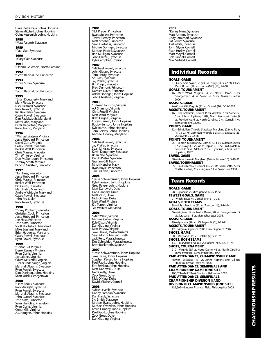Dave Pietramala, Johns Hopkins Steve Mitchell, Johns Hopkins Quint Kessenich, Johns Hopkins

1988 \*Matt Palumb, Syracuse

1989

\*Paul Gait, Syracuse 1990

+Gary Gait, Syracuse 1991

\*Dennis Goldstein, North Carolina

1992<br>\*Scott Bacigalupo, Princeton

### 1993

\*Chris Suran, Syracuse

1994<br>\*Scott Bacigalupo, Princeton

### 1995

\*Brian Dougherty, Maryland Mark Fietta, Syracuse Nick Licameli, Syracuse Rob Kavovit, Syracuse Ric Beardsley, Syracuse Casey Powell, Syracuse Dan Radebaugh, Maryland Matt Hahn, Maryland Peter Hilgartner, Maryland Rob Chomo, Maryland

### 1996

\*Michael Watson, Virginia Jesse Hubbard, Princeton David Curry, Virginia Casey Powell, Syracuse Becket Wolf, Princeton Chris Massey, Princeton<br>Tim Whiteley, Virginia Don McDonough, Princeton<br>Tommy Smith, Virginia Tommy Smith, Virginia<br>Pancho Gutstein, Princeton

#### 1997

\*Jon Hess, Princeton Jesse Hubbard, Princeton Chris Massey, Princeton Becket Wolf, Princeton Pat Cairns, Princeton Matt Hahn, Maryland Andrew Whipple, Maryland Casey Powell, Syracuse John Fay, Duke<br>Rob Kavovit, Syracuse

#### 1998

\*Corey Popham, Princeton Christian Cook, Princeton Jesse Hubbard, Princeton Jon Hess, Princeton Josh Sims, Princeton Scott Hochstadt, Maryland Mike Bonnani, Maryland Brian Haggerty, Maryland Casey Powell, Syracuse Ryan Powell, Syracuse

### 1999

\*Conor Gill, Virginia Derek Kenney, Virginia Ryan Curtis, Virginia Jay Jalbert, Virginia Court Weisleder, Virginia Tucker Radebaugh, Virginia Marshall Abrams, Syracuse Ryan Powell, Syracuse Dan Denihan, Johns Hopkins Scott Urick, Georgetown

### 2000

\*Liam Banks, Syracuse Rob Mulligan, Syracuse Ryan Powell, Syracuse Marshall Abrams, Syracuse John Glatzel, Syracuse Josh Sims, Princeton Sean Hartofilis, Princeton Ryan Curtis, Virginia Conor Gill, Virginia A.J. Haugen, Johns Hopkins

**2001**<br>\*B.J. Prager, Princeton \*B.J. Prager, Princeton<br>Ryan Mollett, Princeton<br>Trevor Tierney, Princeton<br>Matt Striebel, Princeton Sean Hartofilis, Princeton Michael Springer, Syracuse Michael Powell, Syracuse Rob Mulligan, Syracuse John Glatzel, Syracuse Kyle Campbell, Towson

#### 2002

\*Michael Powell, Syracuse John Glatzel, Syracuse Tom Hardy, Syracuse Sol Bliss, Syracuse Jay Pfeifer, Syracuse B.J. Prager, Princeton Brad Dumont, Princeton Damien Davis, Princeton Adam Doneger, Johns Hopkins John Christmas, Virginia

**2003**<br>\*Tillman Johnson, Virginia A.J. Shannon, Virginia Chris Rotelli, Virginia Matt Ward, Virginia Brett Hughes, Virginia Corey Harned, Johns Hopkins Bobby Benson, Johns Hopkins Kyle Barrie, Johns Hopkins<br>Tom Garvey, Johns Hopkins<br>Michael Howley, Maryland

### 2004

\*Michael Powell, Syracuse Jay Pfeifer, Syracuse Sean Lindsay, Syracuse Kevin Dougherty, Syracuse Brian Nee, Syracuse Dan DiPietro, Syracuse Graham Gill, Navy Mitch Hendler, Navy Ryan Boyle, Princeton Tim Sullivan, Princeton

#### 2005

\*Jesse Schwartzman, Johns Hopkins Kyle Harrison, Johns Hopkins Greg Peyser, Johns Hopkins Matt Danowski, Duke Dan Flannery, Duke<br>Matt Zash, Duke Mick O'Hara, Duke Matt Ward, Virginia Kip Turner, Virginia Joe Walters, Maryland

#### 2006

\*Matt Ward, Virginia Michael Culver, Virginia Kyle Dixon, Virginia Dan Glading, Virginia Matt Poskay, Virginia Jake Deane, Massachusetts Sean Morris, Massachusetts Jack Reid, Massachusetts Doc Schneider, Massachusetts Brett Bucktooth, Syracuse

#### 2007

\*Jesse Schwartzman, Johns Hopkins Jake Byrne, Johns Hopkins<br>Stephen Peyser, Johns Hopkins Paul Rabil, Johns Hopkins Eric Zerrlaut, Johns Hopkins Matt Danowski, Duke<br>Ned Crotty, Duke<br>Zack Greer, Duke Nick O'Hara, Duke David Mitchell, Cornell

### 2008

\*Mike Leveille, Syracuse Danny Brennan, Syracuse Dan Hardy, Syracuse Sid Smith, Syracuse Michael Evans, Johns Hopkins Michael Gvozden, Johns Hopkins Kevin Huntley, Johns Hopkins Paul Rabil, Johns Hopkins Zack Greer, Duke Dan Glading, Virginia

#### 2009

\*Kenny Nims, Syracuse Matt Abbott, Syracuse Cody Jamieson, Syracuse Pat Perritt, Syracuse Joel White, Syracuse John Glynn, Cornell Ryan Hurley, Cornell Matt Moyer, Cornell Rob Pannell Cornell Max Seibald, Cornell

### Individual Records

#### Goals, Game

9—Gary Gait, Syracuse (23) vs. Navy (5), 5-22-88; Oliver Marti, Brown (19) vs. Loyola (MD) (12), 5-9-92.

### Goals, Tournament

16—Matt Ward, Virginia (4 vs. Notre Dame, 3 vs. Georgetown, 4 vs. Syracuse, 5 vs. Massachusetts), 2006.

#### Assists, Game

9—Conor Gill, Virginia (11) vs. Cornell (10), 5-19-2002.

### Assists, Tournament

16—Tim Goldstein, Cornell (5 vs. Adelphi, 5 vs. Syracuse, 6 vs. Johns Hopkins), 1987; Matt Danowski, Duke (7 vs. Providence, 6 vs. North Carolina, 2 vs. Cornell, 1 vs. Johns Hopkins), 2007.

#### Points, Game

12—Ed Mullen (7 goals, 5 assists), Maryland (22) vs. Navy (11), 5-23-76; Gary Gait (9 goals, 3 assists), Syracuse (23) vs. Navy (5), 5-22-88.

### Points, Tournament

25—Eamon McEneaney, Cornell (3-4 vs. Massachusetts, 5-5 vs. Navy, 3-5 vs. Johns Hopkins), 1977; Tim Goldstein, Cornell (5-5 vs. Adelphi, 2-5 vs. Syracuse, 2-6 vs. Johns Hopkins), 1987.

#### SAVES, GAI

30— Steve Kavovit, Maryland (16) vs. Brown (13), 5-19-91.

SAVES, TO 85—Paul Schimoler, Cornell (16 vs. Massachusetts, 27 vs. North Carolina, 23 vs. Virginia, 19 vs. Syracuse), 1988.

### Team Records

#### Goals, Game

28— Syracuse vs. Michigan St. (7), 5-15-91.

FEWEST GOALS, GAI 0—Wash. & Lee vs. Cornell (14), 5-19-76.

#### Goals, Both Teams

38—Johns Hopkins (22) vs. Towson (16), 5-14-94. Goals, Tournament

66— Virginia (14 vs. Notre Dame, 20 vs. Georgetown, 17 vs. Syracuse, 15 vs. Massachusetts), 2006.

Assists, Game

19— Syracuse (28) vs. Michigan St. (7), 5-15-91.

Assists, Tournament 42— Virginia, 4 games, 2006; Duke, 4 games, 2007.

### SHOTS, GAME

80—Maryland (19) vs. Hofstra (7), 5-21-75.

SHOTS, BOTH TEAMS

#### 130—Maryland (19) [80] vs. Hofstra (7) [50], 5-21-75. SHOTS, TOURNAMENT

210— Virginia (55 vs. Notre Dame, 46 vs. North Carolina, 56 vs. Syracuse, 53 vs. Princeton), 1994.

PAID Attendance, Championship Game 48,970— Syracuse (13) vs. Johns Hopkins (10), Gillette

### Stadium, Boston, May 26, 2008.<br>PAID ATTENDANCE, SEMIFINALS A Championship Game (one site)

100,021—M&T Bank Stadium, Baltimore, 2007.

### PAID Attendance, Semifinals, Championship, DIVISION II and Division III ChampionshipS (one site )

132,299—Lincoln Financial Field, Philadelphia, 2005.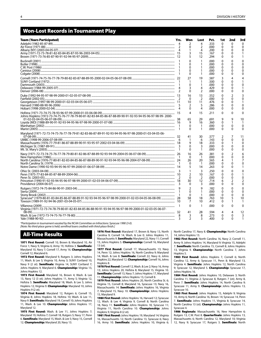### Won-Lost Records in Tournament Play

| Team (Years Participated)                                                                                   | Yrs.           | Won                | Lost                | Pct.         | 1st              | 2nd           | 3rd                      |
|-------------------------------------------------------------------------------------------------------------|----------------|--------------------|---------------------|--------------|------------------|---------------|--------------------------|
|                                                                                                             |                | 2                  | 4                   | .333         | $\Omega$         | $\Omega$      | $\Omega$                 |
|                                                                                                             |                | 0<br>1             | $\overline{2}$<br>4 | .000<br>.200 | 0<br>0           | $\Omega$<br>0 | $\Omega$<br>$\mathbf{0}$ |
|                                                                                                             |                | 3                  | 15                  | .167         | 0                | U             |                          |
|                                                                                                             |                | 5                  | 12                  | .294         | 0                | 0             |                          |
|                                                                                                             |                | ი                  | 1                   | .000         | 0                | 0             | $\Omega$                 |
|                                                                                                             |                | ი<br>ი             | 1<br>1              | .000<br>.000 | 0<br>0           | 0<br>0        | $\Omega$<br>$\Omega$     |
|                                                                                                             |                | 0                  | 1                   | .000         | 0                | 0             | 0                        |
|                                                                                                             |                | $\Omega$           | 1                   | .000         | 0                | 0             | $\Omega$                 |
|                                                                                                             |                | 27                 | 19                  | .587         | 3                | 4             |                          |
|                                                                                                             |                | 1<br>$\Omega$      | 1<br>1              | .500<br>.000 | 0<br>0           | 0<br>ი        | O                        |
|                                                                                                             |                | 3                  | 4                   | .429         | 0                | 0             |                          |
|                                                                                                             | $\overline{2}$ | $\Omega$           | $\overline{2}$      | .000         | 0                | 0             | $\Omega$                 |
|                                                                                                             |                | 16                 | 13                  | .552         | 0                | 2             | 3                        |
|                                                                                                             |                | 0<br>10            | 2<br>11             | .000<br>.476 | 0<br>0           | 0<br>ი        | 0                        |
|                                                                                                             |                | 2                  | 5                   | .286         | 0                | 0             | O                        |
|                                                                                                             |                | 0                  | $\overline{4}$      | .000         | 0                | 0             | $\Omega$                 |
|                                                                                                             |                | 4                  | 15                  | .211         | 0                | 0             | O                        |
| Johns Hopkins (1972-73-74-75-76-77-78-79-80-81-82-83-84-85-86-87-88-89-90-91-92-93-94-95-96-97-98-99- 2000- |                | 65                 | 29                  | .691         | 9                | 9             | 10                       |
|                                                                                                             |                | 9                  | 16                  | .360         | 0                | 1             |                          |
|                                                                                                             |                | 0                  | 1                   | .000         | 0                | $\mathbf{0}$  | $\Omega$                 |
|                                                                                                             | $\overline{1}$ | $\mathbf{0}$       | 1                   | .000         | 0                | 0             | $\Omega$                 |
| Maryland (1971-72-73-74-75-76-77-78-79-81-82-83-86-87-89-91-92-93-94-95-96-97-98-2000-01-03-04-05-06-       |                | 41                 | 30                  | .577         | 2                | 7             | 11                       |
|                                                                                                             |                | -1                 | 6                   | .143         | 0                | 0             | $\Omega$                 |
|                                                                                                             |                | g                  | 18                  | .333         | 0                | 1             | $\Omega$                 |
|                                                                                                             |                | 0<br>0             | 3<br>1              | .000<br>.000 | 0<br>0           | 0<br>0        | $\Omega$<br>0            |
|                                                                                                             |                | 16                 | 26                  | .381         | 0                | 2             | 6                        |
|                                                                                                             |                | $\Omega$           | -1                  | .000         | 0                | U             | 0                        |
|                                                                                                             |                | 26                 | 20                  | .565         | 4                |               |                          |
|                                                                                                             |                | $\Omega$<br>5      | $\mathbf{1}$<br>14  | .000<br>.263 | $\mathbf 0$<br>0 | ŋ             |                          |
|                                                                                                             |                |                    | 3                   | .250         | 0                |               |                          |
|                                                                                                             |                | 2                  | 10                  | .167         | 0                | n             |                          |
|                                                                                                             |                | $\Omega$           | $\overline{2}$      | .000         | 0                |               | 0                        |
|                                                                                                             |                | 30<br>$\mathbf{0}$ | 12<br>3             | .714<br>.000 | 6<br>0           | 0             | $\Omega$                 |
|                                                                                                             |                | $\overline{2}$     | 9                   | .182         | 0                | 0             | O                        |
|                                                                                                             |                | $\Omega$           | 1                   | .000         | 0                | 0             | $\Omega$                 |
|                                                                                                             |                | $\Omega$           | $\mathbf{1}$        | .000         | $\Omega$         | ŋ             | $\Omega$                 |
| Syracuse* (1979-80-81-83-84-85-86-87-88-89-91-92-93-94-95-96-97-98-99-2000-01-02-03-04-05-06-08-09)  28     |                | 58<br>7            | 18<br>10            | .763<br>.412 | 10<br>0          | 5<br>1        | 10                       |
|                                                                                                             | $\overline{1}$ | $\mathbf{0}$       | $\mathbf{1}$        | .000         | 0                | 0             | $\Omega$                 |
| Virginia (1971-72-73-74-78-79-80-81-82-83-84-85-86-88-90-91-93-94-95-96-97-98-99-2000-01-02-03-05-06-07-    |                |                    |                     |              |                  |               |                          |
|                                                                                                             |                | 41                 | 28                  | .594         | 4                |               | 12                       |
|                                                                                                             | 8<br>3         | 3<br>2             | 8<br>3              | .273<br>.400 | $\mathbf 0$<br>0 | 0<br>0        | 3<br>$\mathbf{1}$        |
|                                                                                                             |                |                    |                     |              |                  |               |                          |

*\*Participation in tournament vacated by the NCAA Committee on Infractions: Syracuse 1990 (3-0).*

*[Note: No third-place game is held; semifinal losers credited with third-place finish.]*

### All-Time Results

1971 First Round: Cornell 10, Brown 8; Maryland 10, Air Force 1; Navy 9, Virginia 6; Army 19, Hofstra 3. Semifinals: Maryland 10, Navy 7; Cornell 17, Army 16. Championship: Cornell 12, Maryland 6.

1972 First Round: Maryland 9, Rutgers 3; Johns Hopkins 11, Wash. & Lee 5; Virginia 10, Army 3; SUNY Cortland 10, Navy 9 (2 ot). Semifinals: Virginia 14, SUNY Cortland 7; Johns Hopkins 9, Maryland 6. Championship: Virginia 13, Johns Hopkins 12.

1973 First Round: Maryland 16, Brown 4; Wash. & Lee 13, Navy 12 (3 ot); Johns Hopkins 11, Army 5; Virginia 12, Hofstra 5. Semifinals: Maryland 18, Wash. & Lee 5; Johns Hopkins 12, Virginia 9. Championship: Maryland 10, Johns Hopkins 9 (2 ot).

1974 First Round: Maryland 12, Rutgers 6; Cornell 15, Virginia 8; Johns Hopkins 18, Hofstra 10; Wash. & Lee 11, Navy 9. Semifinals: Maryland 19, Cornell 10; Johns Hopkins 11, Wash. & Lee 10. Championship: Johns Hopkins 17, Maryland 12.

1975 First Round: Wash. & Lee 11, Johns Hopkins 7; Maryland 19, Hofstra 7; Cornell 18, Rutgers 5; Navy 17, Penn 6. Semifinals: Maryland 15, Wash. & Lee 5; Navy 15, Cornell 12. Championship: Maryland 20, Navy 13.

1976 First Round: Maryland 17, Brown 8; Navy 13, North Carolina 9; Cornell 14, Wash. & Lee 0; Johns Hopkins 11, Massachusetts 9. Semifinals: Maryland 22, Navy 11; Cornell 13, Johns Hopkins 5. Championship: Cornell 16, Maryland 13 (ot).

1977 First Round: Cornell 17, Massachusetts 13; Navy 14, Penn 12; Johns Hopkins 16, North Carolina 9; Maryland 14, Wash. & Lee 8. Semifinals: Cornell 22, Navy 6; Johns Hopkins 22, Maryland 12. Championship: Cornell 16, Johns Hopkins 8.

1978 First Round: Cornell 12, Wash. & Lee 2; Navy 16, Army 13; Johns Hopkins 20, Hofstra 8; Maryland 15, Virginia 10. Semifinals: Cornell 13, Navy 7; Johns Hopkins 17, Maryland 11. Championship: Johns Hopkins 13, Cornell 8.

1979 First Round: Johns Hopkins 20, North Carolina St. 6; Virginia 15, Cornell 8; Maryland 16, Syracuse 13; Navy 16, Massachusetts 14. Semifinals: Johns Hopkins 16, Virginia 7; Maryland 15, Navy 10. Championship: Johns Hopkins 15, Maryland 9.

1980 First Round: Johns Hopkins 16, Harvard 12; Syracuse 12, Wash. & Lee 4; Virginia 9, Cornell 8; North Carolina 18, Navy 11. Semifinals: Johns Hopkins 18, Syracuse 11; Virginia 11, North Carolina 10. Championship: Johns Hopkins 9, Virginia 8 (2 ot).

1981 First Round: Johns Hopkins 19, Maryland 14; Virginia 16, Massachusetts 12; North Carolina 13, Syracuse 6; Navy 16, Army 10. Semifinals: Johns Hopkins 10, Virginia 6; North Carolina 17, Navy 8. Championship: North Carolina 14, Johns Hopkins 13.

1982 First Round: North Carolina 16, Navy 2; Cornell 11, Army 9; Johns Hopkins 14, Maryland 9; Virginia 15, Adelphi 7. Semifinals: North Carolina 15, Cornell 8; Johns Hopkins 13, Virginia 9. Championship: North Carolina 7, Johns Hopkins 5.

1983 First Round: Johns Hopkins 7, Cornell 6; North Carolina 12, Army 6; Syracuse 11, Penn 8; Maryland 13, Virginia 4. Semifinals: Johns Hopkins 12, North Carolina 9; Syracuse 12, Maryland 5. Championship: Syracuse 17, Johns Hopkins 16.

1984 First Round: Johns Hopkins 10, Delaware 3: North Carolina 11, Virginia 2; Syracuse 8, Rutgers 7 (ot); Army 8, Penn 7. Semifinals: Johns Hopkins 14, North Carolina 9; Syracuse 11, Army 9. Championship: Johns Hopkins 13, Syracuse 10.

1985 First Round: Johns Hopkins 15, Adelphi 9: Virginia 10, Army 6; North Carolina 16, Brown 14; Syracuse 14, Penn 7. Semifinals: Johns Hopkins 11, Virginia 8; Syracuse 14, North Carolina 13 (ot). Championship: Johns Hopkins 11, Syracuse 4.

1986 Regionals: Massachusetts 16, New Hampshire 6; Rutgers 13, C.W. Post 8. Quarterfinals: Johns Hopkins 13, Massachusetts 6; North Carolina 12, Maryland 10; Virginia 12, Navy 9; Syracuse 17, Rutgers 5. Semifinals: North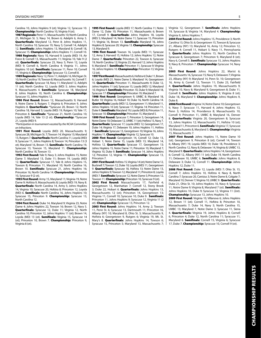Carolina 10, Johns Hopkins 9 (ot); Virginia 12, Syracuse 10. Championship: North Carolina 10, Virginia 9 (ot).

1987 Regionals: Penn 11, Massachusetts 10; North Carolina 21, Michigan St. 5; Navy 14, Brown 6; Adelphi 6, Army 5. Quarterfinals: Maryland 12, Penn 8; Johns Hopkins 11, North Carolina 10; Syracuse 19, Navy 5; Cornell 14, Adelphi 12. **Semifinals:** Johns Hopkins 13, Maryland 8: Cornell 18, Syracuse 15. Championship: Johns Hopkins 11, Cornell 10. 1988 Regionals: Navy 10, Harvard 9; Loyola (MD) 19, Air Force 8; Cornell 13, Massachusetts 11; Virginia 10, Yale 9 (2 ot). Quarterfinals: Syracuse 23, Navy 5; Penn 12, Loyola (MD) 9; Cornell 6, North Carolina 4; Virginia 11, Johns Hopkins 10 (ot). Semifinals: Syracuse 11, Penn 10; Cornell 17, Virginia 6. Championship: Syracuse 13, Cornell 8.

1989 Regionals: Navy 12, Penn 11; Adelphi 16, Michigan St. 10; North Carolina 19, Towson 8; Massachusetts 16, Cornell 7. Quarterfinals: Syracuse 18, Navy 11; Maryland 12, Adelphi 11 (ot); North Carolina 12, Loyola (MD) 5; Johns Hopkins 9, Massachusetts 4. Semifinals: Syracuse 18, Maryland 8; Johns Hopkins 10, North Carolina 6. Championship: Syracuse 13, Johns Hopkins 12.

1990 First Round: Brown 12, Massachusetts 9; Harvard 9, Notre Dame 3; Rutgers 7, Virginia 6; Princeton 9, Johns Hopkins 8. Quarterfinals: \*Syracuse 20, Brown 12; North Carolina 18, Harvard 3; Loyola (MD) 19, Rutgers 10; Yale 17, Princeton 8. Semifinals: \*Syracuse 21, North Carolina 10; Loyola (MD) 14, Yale 13 (2 ot). Championship: \*Syracuse 21, Loyola (MD) 9.

*\*Participation in tournament vacated by the NCAA Committee on Infractions.*

1991 First Round: Loyola (MD) 20, Massachusetts 9; Syracuse 28, Michigan St. 7; Towson 14, Virginia 13; Maryland 13, Rutgers 7. **Quarterfinals:** North Carolina 11, Loyola (MD) 9; Syracuse 11, Johns Hopkins 8; Towson 14, Princeton 13 (3 ot); Maryland 16, Brown 13. Semifinals: North Carolina 19, Syracuse 13; Towson 15, Maryland 11. Championship: North Carolina 18, Towson 13.

1992 First Round: Yale 9, Navy 3; Johns Hopkins 15, Notre Dame 7; Maryland 13, Duke 11; Brown 19, Loyola (MD) 12. Quarterfinals: Syracuse 17, Yale 8; Johns Hopkins 15, Towson 8; Princeton 11, Maryland 10; North Carolina 16, Brown 10. Semifinals: Syracuse 21, Johns Hopkins 16; Princeton 16, North Carolina 14. Championship: Princeton 10, Syracuse 9 (2 ot).

1993 First Round: Army 15, Maryland 11; Virginia 19, Notre Dame 9; Hofstra 9, Massachusetts 8; Loyola (MD) 19, Navy 8. Quarterfinals: North Carolina 14, Army 5; Johns Hopkins 14, Virginia 10; Syracuse 20, Hofstra 8; Princeton 12, Loyola (MD) 6. **Semifinals:** North Carolina 16, Johns Hopkins 10: Syracuse 15, Princeton 9. **Championship:** Syracuse 13, North Carolina 12.

1994 First Round: Duke 14, Maryland 9: Virginia 23, Notre Dame 4; Johns Hopkins 22, Towson 16; Brown 12, Navy 5. Quarterfinals: Syracuse 12, Duke 11; Virginia 12, North Carolina 10; Princeton 12, Johns Hopkins 11 (ot); Brown 14, Loyola (MD) 13 (ot). Semifinals: Virginia 15, Syracuse 14 (ot); Princeton 10, Brown 7. Championship: Princeton 9, Virginia 8 (ot).

1995 First Round: Loyola (MD) 17, North Carolina 11; Notre Dame 12, Duke 10; Princeton 11, Massachusetts 6; Brown 17, Cornell 9, **Quarterfinals:** Johns Hopkins 18, Loyola (MD) 5; Maryland 14, Notre Dame 11; Syracuse 15, Princeton 11; Virginia 16, Brown 13. Semifinals: Maryland 16, Johns Hopkins 8; Syracuse 20, Virginia 13. Championship: Syracuse 13, Maryland 9.

1996 First Round: Towson 16, Lovola (MD) 11; Syracuse 12, Army 3; Harvard 15, Hofstra 12; Johns Hopkins 12, Notre Dame 7. **Quarterfinals:** Princeton 22, Towson 6: Syracuse 19, North Carolina 12; Virginia 23, Harvard 12; Johns Hopkins 9, Maryland 7. Semifinals: Princeton 11, Syracuse 9; Virginia 16, Johns Hopkins 10. Championship: Princeton 13, Virginia  $12$  ( $\text{nt}$ ).

1997 First Round: Massachusetts 6, Hofstra 4; Duke 11, Brown 6; Loyola (MD) 21, Notre Dame 5; Maryland 14, Georgetown 10. **Quarterfinals:** Princeton 11, Massachusetts 9; Duke 12, Johns Hopkins 11 (ot); Syracuse 13, Loyola (MD) 12; Maryland 10, Virginia 9. Semifinals: Princeton 10, Duke 9; Maryland 18, Syracuse 17. Championship: Princeton 19, Maryland 7.

1998 First Round: Georgetown 9, UMBC 8; Maryland 18, Butler 10; Virginia 16, Hobart 10; Duke 16, North Carolina 14. Quarterfinals: Loyola (MD) 12, Georgetown 11; Maryland 11, Johns Hopkins 10 (ot); Syracuse 17, Virginia 14; Princeton 11, Duke 9. Semifinals: Maryland 19, Loyola (MD) 8; Princeton 11, Syracuse 10. Championship: Princeton 15, Maryland 5.

1999 First Round: Syracuse 7, Princeton 5; Georgetown 14, Notre Dame 10; Delaware 12, UMBC 11 (ot); Hofstra 15, Navy 7. Quarterfinals: Syracuse 17, Loyola (MD) 12; Georgetown 17, Duke 14; Virginia 17, Delaware 10; Johns Hopkins 11, Hofstra 7. **Semifinals:** Syracuse 13, Georgetown 10; Virginia 16, Johns Hopkins 11. Championship: Virginia 12, Syracuse 10.

2000 First Round: Georgetown 14, Cornell 12; Duke 13, Hobart 1; Notre Dame 15, Loyola (MD) 13; Maryland 14, Hofstra 12. Quarterfinals: Syracuse 17, Georgetown 13; Johns Hopkins 15, Notre Dame 11; Princeton 10, Maryland 7; Virginia 10, Duke 9. Semifinals: Syracuse 14, Johns Hopkins 12; Princeton 12, Virginia 11. Championship: Syracuse 13, Princeton 7.

2001 First Round: Hofstra 15, Virginia 14 (ot); Notre Dame 12, Bucknell 7; Towson 12, Duke 10; Loyola (MD) 11, Georgetown 9. **Quarterfinals:** Syracuse 18, Hofstra 13; Notre Dame 13, Johns Hopkins 9; Towson 12, Maryland 11; Princeton 8, Loyola (MD) 7. Semifinals: Syracuse 12, Notre Dame 5; Princeton 12, Towson 11. Championship: Princeton 10, Syracuse 9 (ot).

2002 First Round: Massachusetts 17, Fairfield 4; Georgetown 12, Manhattan 7; Cornell 12, Stony Brook 3; Duke 22, Hobart 6. Quarterfinals: Johns Hopkins 13, Massachusetts 12 (ot); Princeton 14, Georgetown 13; Virginia 11, Cornell 10; Syracuse 10, Duke 9. Semifinals: Princeton 11, Johns Hopkins 9; Syracuse 12, Virginia 11 (2 ot). Championship: Syracuse 13, Princeton 12.

2003 First Round: Johns Hopkins 14, Army 2; Towson 11, Penn St. 6; Syracuse 13, Dartmouth 11; Princeton 16, Albany (NY) 10; Maryland 8, Ohio St. 5; Massachusetts 9, Hofstra 6; Georgetown 9, Rutgers 6; Virginia 19, Mt. St. Mary's 8. **Quarterfinals:** Johns Hopkins 14, Towson 6: Syracuse 15, Princeton 5; Maryland 13, Massachusetts 7; Virginia 12, Georgetown 7. Semifinals: Johns Hopkins 19, Syracuse 8; Virginia 14, Maryland 4. Championship: Virginia 9, Johns Hopkins 7.

2004 First Round: Johns Hopkins 15, Providence 3; North Carolina 13, Ohio St. 6; Georgetown 15, Towson 8; Syracuse 21, Albany (NY) 13; Maryland 16, Army 12; Princeton 12, Rutgers 4; Cornell 11, Hobart 5; Navy 11, Pennsylvania 5. **Quarterfinals:** Johns Hopkins 15, North Carolina 9: Syracuse 8, Georgetown 7; Princeton 9, Maryland 8 (ot); Navy 6, Cornell 5. Semifinals: Syracuse 15, Johns Hopkins 9; Navy 8, Princeton 7. Championship: Syracuse 14, Navy 13.

2005 First Round: Johns Hopkins 22, Marist 6; Massachusetts 16, Syracuse 15; Navy 9, Delaware 7; Virginia 23, Albany (NY) 9; Maryland 14, Penn St. 10; Georgetown 16, Army 6; Cornell 12, Towson 11; Duke 23, Fairfield 4. **Quarterfinals:** Johns Hopkins 19, Massachusetts 9: Virginia 10, Navy 8; Maryland 9, Georgetown 8; Duke 11, Cornell 8. Semifinals: Johns Hopkins 9, Virginia 8 (ot); Duke 18, Maryland 9. Championship: Johns Hopkins 9, Duke 8.

2006 First Round: Virginia 14, Notre Dame 10: Georgetown 9, Navy 7; Syracuse 11, Harvard 4; Johns Hopkins 13, Penn 3; Hofstra 14, Providence 8; Massachusetts 10, Cornell 9; Princeton 11, UMBC 8; Maryland 16, Denver 8. **Quarterfinals:** Virginia 20, Georgetown 8; Syracuse 13, Johns Hopkins 12; Massachusetts 11, Hofstra 10 (ot); Maryland 11, Princeton 6. Semifinals: Virginia 17, Syracuse 10; Massachusetts 8, Maryland 5. Championship: Virginia 15, Massachusetts 7.

2007 First Round: Johns Hopkins 11, Notre Dame 10 (ot); Georgetown 9, Princeton 8 (ot); Cornell 14, Towson 6; Albany (NY) 19, Loyola (MD) 10; Duke 18, Providence 3; North Carolina 12, Navy 8; Delaware 14, Virginia 8; UMBC 13, Maryland 9. **Quarterfinals:** Johns Hopkins 14, Georgetown 6; Cornell 12, Albany (NY) 11 (ot); Duke 19, North Carolina 11; Delaware 10, UMBC 6. Semifinals: Johns Hopkins 8, Delaware 3; Duke 12, Cornell 11. Championship: Johns Hopkins 12, Duke 11.

2008 First Round: Duke 12, Loyola (MD) 7: Ohio St. 15, Cornell 7; Johns Hopkins 10, Hofstra 4; Navy 8, North Carolina 7; Syracuse 20, Canisius 3; Notre Dame 8, Colgate 7; Maryland 10, Denver 7; Virginia 10, UMBC 9. Quarterfinals: Duke 21, Ohio St. 10; Johns Hopkins 10, Navy 4; Syracuse 11, Notre Dame 9: Virginia 8, Maryland 7 (ot). Semifinals: Johns Hopkins 10, Duke 9; Syracuse 12, Virginia 11 (2ot). Championship: Syracuse 13, Johns Hopkins 10.

2009 First Round: Virginia 10, Villanova 6; Johns Hopkins 12, Brown 11 (ot); Cornell 11, Hofstra 8; Princeton 10, Massachusetts 7; Duke 14, Navy 5; North Carolina 15, UMBC 13; Maryland 7, Notre Dame 3; Syracuse 11, Siena 4. **Quarterfinals:** Virginia 19, Johns Hopkins 8; Cornell 6, Princeton 4; Duke 12, North Carolina 11; Syracuse 11, Maryland 6. Semifinals: Cornell 15, Virginia 6: Syracuse 17, Duke 7. Championship: Syracuse 10, Cornell 9 (ot).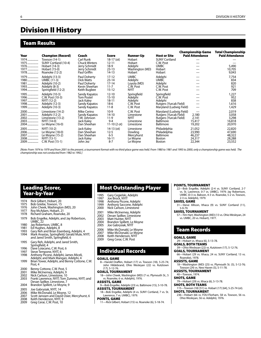# Division II History

### Team Results

| Year                                 | <b>Champion (Record)</b>                                                                 | Coach                                                                     | Score                                                           | <b>Runner-Up</b>                                                | <b>Host or Site</b>                                                                                   | <b>Championship Game</b>           | <b>Total Championship</b>                   |
|--------------------------------------|------------------------------------------------------------------------------------------|---------------------------------------------------------------------------|-----------------------------------------------------------------|-----------------------------------------------------------------|-------------------------------------------------------------------------------------------------------|------------------------------------|---------------------------------------------|
| 1974                                 | Towson (14-1)                                                                            | Carl Runk                                                                 | 18-17 (ot)                                                      | Hobart                                                          | <b>SUNY Cortland</b>                                                                                  | <b>Paid Attendance</b>             | <b>Paid Attendance</b>                      |
| 1975<br>1976<br>1977<br>1978         | SUNY Cortland (10-4)<br>Hobart (14-3)<br>Hobart (15-0)<br>Roanoke (12-2)                 | <b>Chuck Winters</b><br>Jerry Schmidt<br>Jerry Schmidt<br>Paul Griffin    | $12 - 11$<br>$18-9$<br>$23 - 13$<br>$14-13$                     | Hobart<br>Adelphi<br>Washington (MD)<br>Hobart                  | C.W. Post<br><b>UMBC</b><br>Hobart<br>Hobart                                                          |                                    | 5,490<br>10,705<br>9,043                    |
| 1979                                 | Adelphi (13-3)                                                                           | Paul Doherty                                                              | $17-12$                                                         | <b>UMBC</b>                                                     | Adelphi                                                                                               |                                    | 7,754                                       |
| 1980                                 | <b>UMBC (11-3)</b>                                                                       | <b>Dick Watts</b>                                                         | $23 - 14$                                                       | Adelphi                                                         | <b>UMBC</b>                                                                                           |                                    | 834                                         |
| 1981                                 | Adelphi (10-2)                                                                           | Paul Doherty                                                              | $17 - 14$                                                       | Loyola (MD)                                                     | Adelphi                                                                                               |                                    | 820                                         |
| 1993                                 | Adelphi (8-3)                                                                            | Kevin Sheehan                                                             | $11 - 7$                                                        | C.W. Post                                                       | C.W. Post                                                                                             |                                    | 921                                         |
| 1994                                 | Springfield (12-2)                                                                       | Keith Bugbee                                                              | $15 - 12$                                                       | <b>NYIT</b>                                                     | C.W. Post                                                                                             |                                    | 709                                         |
| 1995                                 | Adelphi (10-3)                                                                           | Sandy Kapatos                                                             | $12 - 10$                                                       | Springfield                                                     | Springfield                                                                                           |                                    | 1,227                                       |
| 1996                                 | C.W. Post (10-3)                                                                         | Tom Postel                                                                | $15-10$                                                         | Adelphi                                                         | C.W. Post                                                                                             |                                    | 952                                         |
| 1997                                 | NYIT (12-2)                                                                              | Jack Kaley                                                                | $18 - 11$                                                       | Adelphi                                                         | Adelphi                                                                                               |                                    | 838                                         |
| 1998                                 | Adelphi (12-3)                                                                           | Sandy Kapatos                                                             | $18-6$                                                          | C.W. Post                                                       | Rutgers (Yurcak Field)                                                                                |                                    | 1,616                                       |
| 1999                                 | Adelphi (10-3)                                                                           | Sandy Kapatos                                                             | $11 - 8$                                                        | C.W. Post                                                       | Maryland (Ludwig Field)                                                                               |                                    | 1,429                                       |
| 2000<br>2001<br>2002<br>2003<br>2004 | Limestone (14-2)<br>Adelphi (12-2)<br>Limestone (13-2)<br>NYIT (14-0)<br>Le Moyne (16-0) | Mike Cerino<br>Sandy Kapatos<br>T.W. Johnson<br>Jack Kaley<br>Dan Sheehan | $10-9$<br>$14-10$<br>$11-9$<br>$9 - 4$<br>$11-10(2 \text{ ot})$ | C.W. Post<br>Limestone<br><b>NYIT</b><br>Limestone<br>Limestone | Maryland (Ludwig Field)<br>Rutgers (Yurcak Field)<br>Rutgers (Yurcak Field)<br>Baltimore<br>Baltimore | 2,180<br>2,141<br>15,417<br>19,202 | 2,019<br>3,058<br>3,298<br>16,818<br>20,970 |
| 2005                                 | NYIT (10-2)                                                                              | Jack Kaley                                                                | 14-13 (ot)                                                      | Limestone                                                       | Philadelphia                                                                                          | 21,052                             | 22,820                                      |
| 2006                                 | Le Moyne (18-0)                                                                          | Dan Sheehan                                                               | $12 - 5$                                                        | Dowling                                                         | Philadelphia                                                                                          | 23,990                             | 47,690                                      |
| 2007                                 | Le Moyne (15-2)                                                                          | Dan Sheehan                                                               | $6 - 5$                                                         | Mercyhurst                                                      | Baltimore                                                                                             | 46,237                             | 48,322                                      |
| 2008                                 | NYIT (13-1)                                                                              | Jack Kaley                                                                | $16 - 11$                                                       | Le Moyne                                                        | Boston                                                                                                | 24,317                             | 28,288                                      |
| 2009                                 | C.W. Post (15-1)                                                                         | John Jez                                                                  | $8 - 7$                                                         | Le Moyne                                                        | Boston                                                                                                | 22,344                             | 23,552                                      |

*[Note: From 1974 to 1979 and from 2001 to the present, a tournament format with no third-place game was held. From 1980 to 1981 and 1993 to 2000, only a championship game was held. The championship was not conducted from 1982 to 1992.]*

### Leading Scorer, Year-by-Year

- 1974 Rick Gilbert, Hobart, 20<br>1975 Rob Griebe Towson, 15
- 1975 Bob Griebe, Towson, 15 1976 John Cheek, Washington (MD), 20
- 
- 1977 Roy McAdam, Hobart, 21<br>1978 Richard Graham, Roanok Richard Graham, Roanoke, 20
- 1979 Bob Engelke, Adelphi, and Jay Robertson,
- UMBC, 22
- 1980 Jay Robertson, UMBC, 8
- 1981 Ed Hughes, Adelphi, 8 1993 Gary Reh and Brian Eisenberg, Adelphi, 4
- 1994 Mark Anastas, Springfield; Gerald Mule, NYIT; and Jared Smith, Springfield, 6
- 1995 Gary Reh, Adelphi, and Jared Smith, Springfield, 4
- 1996 Dave Loiacano, C.W. Post, 6<br>1997 Steve Tempone, NYIT, 6
- 1997 Steve Tempone, NYIT, 6<br>1998 Anthony Picone, Adelph
- Anthony Picone, Adelphi; James Miceli, Adelphi; and Mark Mangan, Adelphi, 4
- 1999 Brian Tower, Adelphi, and Benny Cottone, C.W. Post, 4
- 2000 Benny Cottone, C.W. Post, 5<br>2001 Mike McInerney, Adelphi, 9
- 2001 Mike McInerney, Adelphi, 9
- 2002 Nick Carlson, Limestone, 10<br>2003 Frank Lawrence, NYIT: Tom 2
- 2003 Frank Lawrence, NYIT; Tom Zummo, NYIT; and Devan Spilker, Limestone, 7
- 2004 Brandon Spillett, Le Moyne, 9
- 2005 Joe Gabrysiak, NYIT, 14<br>2006 Mike McDonald, Le Moy
- 2006 Mike McDonald, Le Moyne, 12<br>2007 Scott Janssen and David Osier
- 2007 Scott Janssen and David Osier, Mercyhurst, 6
- 2008 Keith Henderson, NYIT, 9<br>2009 Greg Cerar, C.W. Post, 10 Greg Cerar, C.W. Post, 10

### Most Outstanding Player

- 
- 1995 Gary Cegielski, Adelphi 1997 Joe Brock, NYIT
- 1998 Anthony Picone, Adelphi<br>1999 Anthony Saccone, Adelpl
- 1999 Anthony Saccone, Adelphi<br>2000 Nick Carlson, Limestone
- Nick Carlson, Limestone
- 
- 2001 Mike McInerney, Adelphi 2002 Devan Spilker, Limestone
- 2003 Matt Hunter, NYIT<br>2004 Brandon Spillett, L
- 2004 Brandon Spillett, Le Moyne<br>2005 Joe Gabrysiak, NYIT
- Joe Gabrysiak, NYIT
- 2006 Mike McDonald, Le Moyne<br>2007 Mike McDonald, Le Moyne
- 2007 Mike McDonald, Le Moyne<br>2008 Keith Henderson NYIT
- 

### Individual Records

#### Goals, Game

- 8—Harold Draffen, Hobart (17) vs. Towson (18), 5-25-74; John Hildebrand, Ohio Wesleyan (22) vs. Kutztown (17), 5-12-76.
- Goals, Tournament

18—John Cheek, Washington (MD) (7 vs. Plymouth St., 5 vs. Roanoke, 6 vs. Adelphi), 1976.

#### Assists, Game

- 9—Bob Engelke, Adelphi (23) vs. Baltimore (15), 5-10-78. Assists, Tournament
- 18—Bob Engelke, Adelphi (4 vs. SUNY Cortland, 7 vs. St. Lawrence, 7 vs. UMBC), 1979.

#### Points, Game

11—Rick Gilbert, Hobart (15) vs. Roanoke (6), 5-18-74.

#### Points, Tournament

22—Bob Engelke, Adelphi (2-4 vs. SUNY Cortland, 2-7 vs. St. Lawrence, 0-7 vs. UMBC), 1979; Jay Robertson, UMBC (0-3 vs. Babson, 4-3 vs. Roanoke, 5-2 vs. Towson, 2-3 vs. Adelphi), 1979.

#### Saves, Game

31—Steve Allison, Ithaca (9) vs. SUNY Cortland (11), 5-9-79.

#### Saves, Tournament

57—Tim Hart, Washington (MD) (13 vs. Ohio Wesleyan, 24 vs. UMBC, 20 vs. Hobart), 1977.

### Team Records

#### Goals, Game

### 29—Hobart vs. Ithaca (6), 5-13-78.

- Goals, Both Teams 39—Ohio Wesleyan (22) vs. Kutztown (17), 5-12-76.
- Goals, Tournament
- 66—Hobart (29 vs. Ithaca, 24 vs. SUNY Cortland, 13 vs. Roanoke), 1978.

#### Assists, Game

18—Washington (MD) (25) vs. Plymouth St. (5), 5-12-76; Towson (24) vs. New Haven (5), 5-11-78.

### Assists, Tournament

#### 40—Towson, 1974. SHOTS, GAME

79—Hobart (29) vs. Ithaca (6), 5-13-78.

#### Shots, Both Teams

- 115—Towson (18) [51] vs. Hobart (17) [64], 5-25-74 (ot). Shots, Tournament
	- 236—Hobart (66 vs. FDU-Florham, 58 vs. Towson, 56 vs. Ohio Wesleyan, 56 vs. Adelphi), 1976.

2008 Keith Henderson, NYIT<br>2009 Greg Cerar C W Post Greg Cerar, C.W. Post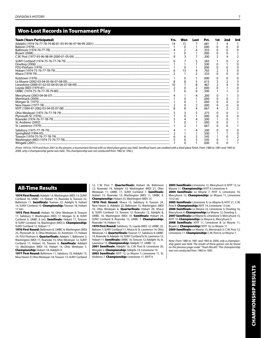### Won-Lost Records in Tournament Play

| <b>Team (Years Participated)</b> | Won<br>15 | Lost | Pct.<br>.681                         | 1st | 2nd | 3rd |
|----------------------------------|-----------|------|--------------------------------------|-----|-----|-----|
|                                  |           |      | .000<br>.333<br>.000<br>.300         |     |     |     |
|                                  |           |      | .583<br>.500<br>.000<br>.765<br>.333 |     |     |     |
|                                  |           |      | .000<br>.615<br>.467<br>.000<br>.500 |     |     |     |
|                                  |           |      | .200<br>.000<br>.000<br>.000<br>.667 |     |     |     |
|                                  |           |      | .375<br>.000<br>.500<br>.000<br>.667 |     |     |     |
|                                  |           |      | .200<br>.500<br>.545<br>545<br>.00C  |     |     |     |

*[From 1974 to 1979 and from 2001 to the present, a tournament format with no third-place game was held. Semifinal losers are credited with a third-place finish. From 1980 to 1981 and 1993 to 2000, only a championship game was held. The championship was not conducted from 1982 to 1992.]*

### All-Time Results

1974 First Round: Adelphi 14, Washington (MD) 13; SUNY Cortland 16, UMBC 13; Hobart 15, Roanoke 6; Towson 22, Baltimore 11. Semifinals: Towson 22, Adelphi 9; Hobart 14, SUNY Cortland 10. Championship: Towson 18, Hobart 17 (ot).

1975 First Round: Hobart 18, Ohio Wesleyan 8; Towson 17, Salisbury 7; Washington (MD) 17, Morgan St. 8; SUNY Cortland 9, UMBC 8 (ot). Semifinals: Hobart 17, Towson 9; SUNY Cortland 16, Washington (MD) 6. Championship: SUNY Cortland 12, Hobart 11.

1976 First Round: Baltimore 8, UMBC 6; Washington (MD) 25, Plymouth St. 5; Ohio Wesleyan 22, Kutztown 17; Hobart 19, FDU-Florham 6. Quarterfinals: Adelphi 7, Baltimore 2; Washington (MD) 17, Roanoke 15; Ohio Wesleyan 12, SUNY Cortland 11; Hobart 10, Towson 6. Semifinals: Adelphi 13, Washington (MD) 10; Hobart 14, Ohio Wesleyan 5. Championship: Hobart 18, Adelphi 9.

1977 First Round: Baltimore 11, Salisbury 10; Adelphi 15, New Haven 9; Ohio Wesleyan 18, Towson 13; SUNY Cortland 12, C.W. Post 7. Quarterfinals: Hobart 26. Baltimore 12; Roanoke 14, Adelphi 12; Washington (MD) 21, Ohio Wesleyan 11; UMBC 17, SUNY Cortland 7. Semifinals: Hobart 15, Roanoke 13; Washington (MD) 11, UMBC 9. Championship: Hobart 23, Washington (MD) 13.

1978 First Round: Ithaca 15, Salisbury 9; Towson 24, New Haven 5; Adelphi 23, Baltimore 15; Washington (MD) 10, Ohio Wesleyan 6. Quarterfinals: Hobart 29, Ithaca 6; SUNY Cortland 13, Towson 12; Roanoke 13, Adelphi 8; UMBC 16, Washington (MD) 10. Semifinals: Hobart 24, SUNY Cortland 9; Roanoke 12, UMBC 7. Championship: Roanoke 14, Hobart 13.

1979 First Round: Salisbury 13, Loyola (MD) 12; UMBC 22, Babson 7; SUNY Cortland 11, Ithaca 9; St. Lawrence 14, Ohio Wesleyan 12. Quarterfinals: Towson 17, Salisbury 4; UMBC 14, Roanoke 9; Adelphi 14, SUNY Cortland 9; St. Lawrence 12, Hobart 11. Semifinals: UMBC 16, Towson 12; Adelphi 16, St. Lawrence 13. Championship: Adelphi 17, UMBC 12. 2001 Semifinals: Adelphi 16, C.W. Post 8; Limestone 20, Wingate 2. Championship: Adelphi 14, Limestone 10. 2002 Semifinals: NYIT 12, Le Moyne 7; Limestone 11, St. Andrews 7. Championship: Limestone 11, NYIT 9.

2003 Semifinals: Limestone 12, Mercyhurst 4; NYIT 12, Le Moyne 11. **Championship:** NYIT 9, Limestone 4.

2004 Semifinals: Le Moyne 7, NYIT 5; Limestone 14, Mercyhurst 12. Championship: Le Moyne 11, Limestone  $10(2 \text{ of})$ 

2005 Semifinals: Limestone 9, Le Moyne 8; NYIT 21, C.W. Post 9. Championship: NYIT 14, Limestone 13 (ot).

2006 Semifinals: Le Moyne 22, Limestone 3; Dowling 16, Mercyhurst 4. Championship: Le Moyne 12, Dowling 5.

2007 Semifinals: Le Moyne 8, Limestone 5; Mercyhurst 13, NYIT 10. Championship: Le Moyne 6, Mercyhurst 5.

2008 Semifinals: NYIT 11, Limestone 8; Le Moyne 11, Bryant 2. Championship: NYIT 16, Le Moyne 11.

2009 Semifinals: Le Moyne 15, Merrimack 5; C.W. Post 12, Limestone 11. Championship: C.W. Post 8, Le Moyne 7.

*Note: From 1980 to 1981 and 1993 to 2000, only a championship game was held. The results of these games can be found on the previous page under "Team Results." The championship was not conducted from 1982 to 1992.*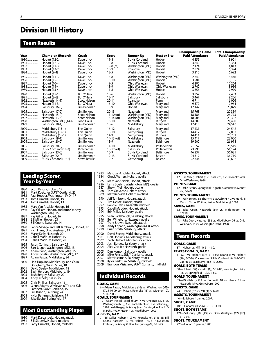Championship Game Total Championship

# Division III History

### Team Results

| Year | <b>Champion (Record)</b> | Coach               | Score        | Runner-Up            | <b>Host or Site</b> | Championship Game<br><b>Paid Attendance</b> | <b>IULAI CHAMPIONSHI</b><br><b>Paid Attendance</b> |
|------|--------------------------|---------------------|--------------|----------------------|---------------------|---------------------------------------------|----------------------------------------------------|
| 1980 | Hobart (12-2)            | Dave Urick          | $11 - 8$     | <b>SUNY Cortland</b> | Hobart              | 4,855                                       | 8.901                                              |
| 1981 | Hobart (12-3)            | Dave Urick          | $10 - 8$     | <b>SUNY Cortland</b> | Hobart              | 3,840                                       | 6,364                                              |
| 1982 | Hobart (11-3)            | Dave Urick          | $9-8$ (ot)   | Washington (MD)      | Hobart              | 2,124                                       | 4,813                                              |
| 1983 | Hobart (13-2)            | Dave Urick          | $13-9$       | Roanoke              | Hobart              | 2,874                                       | 6,394                                              |
| 1984 | Hobart (9-4)             | Dave Urick          | $12 - 5$     | Washington (MD)      | Hobart              | 3,210                                       | 6,692                                              |
| 1985 | Hobart (11-3)            | Dave Urick          | $15 - 8$     | Washington (MD)      | Washington (MD)     | 2,640                                       | 6.446                                              |
| 1986 | Hobart (15-1)            | Dave Urick          | $13 - 10$    | Washington (MD)      | Hobart              | 3,581                                       | 9,105                                              |
| 1987 | Hobart (10-4)            | Dave Urick          | $9 - 5$      | Ohio Wesleyan        | Hobart              | 4,205                                       | 10,264                                             |
| 1988 | Hobart (14-4)            | Dave Urick          | 18-9         | Ohio Wesleyan        | Ohio Wesleyan       | 2,742                                       | 8,956                                              |
| 1989 | Hobart (15-4)            | Dave Urick          | $11 - 8$     | Ohio Wesleyan        | Hobart              | 3,656                                       | 7,979                                              |
| 1990 | Hobart (15-1)            | B.J. O'Hara         | $18-6$       | Washington (MD)      | Hobart              | 3,857                                       | 7,453                                              |
| 1991 | Hobart (8-6)             | B.J. O'Hara         | $12 - 11$    | Salisbury            | Salisbury           | 3,467                                       | 9,256                                              |
| 1992 | Nazareth (14-1)          | Scott Nelson        | $22 - 11$    | Roanoke              | Penn                | 6,714                                       | 16,026                                             |
| 1993 | Hobart (11-3)            | B.J. O'Hara         | $16 - 10$    | Ohio Wesleyan        | Maryland            | 9,579                                       | 19,964                                             |
| 1994 | Salisbury (16-0)         | Jim Berkman         | $15-9$       | Hobart               | Maryland            | 12,142                                      | 20,879                                             |
| 1995 | Salisbury (17-0)         | Jim Berkman         | $22 - 13$    | Nazareth             | Maryland            | 15,768                                      | 20,359                                             |
| 1996 | Nazareth (15-0)          | <b>Scott Nelson</b> | $11-10$ (ot) | Washington (MD)      | Maryland            | 18,586                                      | 26,773                                             |
| 1997 | Nazareth (13-3)          | Scott Nelson        | $15-14$ (ot) | Washington (MD)      | Maryland            | 18,086                                      | 23,382                                             |
| 1998 | Washington (MD) (14-4)   | John Haus           | $16-10$      | Nazareth             | Rutgers             | 14,609                                      | 21,490                                             |
| 1999 | Salisbury (18-1)         | Jim Berkman         | $13-6$       | Middlebury           | Maryland            | 17,418                                      | 24,547                                             |
| 2000 | Middlebury (15-1)        | Erin Ouinn          | $16 - 12$    | Salisbury            | Maryland            | 17,431                                      | 24,542                                             |
| 2001 | Middlebury (17-1)        | Erin Ouinn          | $15-10$      | Gettysburg           | Rutgers             | 14,417                                      | 17,052                                             |
| 2002 | Middlebury (18-1)        | Erin Ouinn          | $14-9$       | Gettysburg           | Rutgers             | 14,411                                      | 20,752                                             |
| 2003 | Salisbury (19-1)         | Jim Berkman         | $14-13$ (ot) | Middlebury           | <b>Baltimore</b>    | 15,417                                      | 23,000                                             |
| 2004 | Salisbury (20-0)         | Jim Berkman         | $13-9$       | <b>Nazareth</b>      | <b>Baltimore</b>    | 19,202                                      | 26,918                                             |
| 2005 | Salisbury (20-0)         | Jim Berkman         | $11 - 10$    | Middleburv           | Philadelphia        | 21,052                                      | 28,519                                             |
| 2006 | SUNY Cortland (18-3)     | <b>Rich Barnes</b>  | $13-12$ (ot) | Salisbury            | Philadelphia        | 23,990                                      | 51,124                                             |
| 2007 | Salisbury (23-0)         | Jim Berkman         | 15-9         | SUNY Cortland        | <b>Baltimore</b>    | 46,237                                      | 56,031                                             |
| 2008 | Salisbury (22-0)         | Jim Berkman         | 19-13        | <b>SUNY Cortland</b> | <b>Boston</b>       | 24,317                                      | 36,710                                             |
| 2009 | SUNY Cortland (19-2)     | Steve Beville       | $9 - 7$      | Gettysburg           | <b>Boston</b>       | 22,344                                      | 33,682                                             |

### Leading Scorer, Year-by-Year

- 1980 Scott Petosa, Hobart, 1<mark>7</mark><br>1981 Mark Koetzner, SUNY Co
- 1981 Mark Koetzner, SUNY Cortland, 23<br>1982 Paul Hooper, Washington (MD), 17
- 1982 Paul Hooper, Washington (MD), 17<br>1983 Tom Grimaldi Hobart 19
- 1983 Tom Grimaldi, Hobart, 19<br>1984 Tom Grimaldi, Hobart, 13 Tom Grimaldi, Hobart, 13
- 
- 1985 Marc Van Arsdale, Hobart, 16<br>1986 Ray Gilliam, Hobart, and Bruc 1986 Ray Gilliam, Hobart, and Bruce Yancey,
- Washington (MD), 15
- 
- 1987 Ray Gilliam, Hobart, 16<br>1988 Bill Miller, Hobart, 23 1988 Bill Miller, Hobart, 23<br>1989 Bill Coons, Nazareth,
- Bill Coons, Nazareth, 14
- 1990 Lance Savage and Jeff Tambroni, Hobart, 17<br>1991 Rich Franz, Ohio Weslevan, 19
- 1991 Rich Franz, Ohio Wesleyan, 19<br>1992 Marty Kelly, Nazareth, 20
- 
- 1992 Marty Kelly, Nazareth, 20 1993 Cabell Maddux, Hobart, 19 1994 Cabell Maddux, Hobart, 20
- 
- 1995 Jason Coffman, Salisbury, 21<br>1996 Bart Jaeger Washington (MD
- 1996 Bart Jaeger, Washington (MD), 13<br>1997 Adam Bond, Washington (MD), 15
- 1997 Adam Bond, Washington (MD), 15<br>1998 Andy Lopatin, Washington (MD), 1 1998 Andy Lopatin, Washington (MD), 17
- Adam Pascal, Middlebury, 24
- 2000 Holt Hopkins, Middlebury, and Colin Dougherty, Wash. & Lee, 18 2001 David Seeley, Middlebury, 18
- 
- 
- 2002 Zach Herbert, Middlebury, 19
- 2003 Josh Bergey, Salisbury, 29 2004 Andy Arnold, Salisbury, 15
- 2005 Chris Phillips, Salisbury, 16<br>2006 Glenn Adams Weslevan (C
- 2006 Glenn Adams, Wesleyan (CT), and Kyle Lambert, SUNY Cortland, 15
- 2007 Eric Bishop, Salisbury, 24<br>2008 Kylor Berkman, Salisbury.
- 2008 Kylor Berkman, Salisbury, 19 Jake Beebe, Springfield, 17
- 

### Most Outstanding Player

- 1980 Mark Darcangelo, Hobart, attack<br>1981 Bill Sipperly, Hobart, midfield
- 1981 Bill Sipperly, Hobart, midfield<br>1982 Larry Grimaldi, Hobart, midfie
- Larry Grimaldi, Hobart, midfield
- 1983 Marc Van Arsdale, Hobart, attack<br>1984 Chuck Warren, Hobart, goalje
- Chuck Warren, Hobart, goalie
- 1985 Marc VanArsdale, Hobart, attack<br>1986 Larry Boehm. Washington (MD).
- 1986 Larry Boehm, Washington (MD), goalie
- Shawn Trell, Hobart, goalie
- 1988 Tom Gravante, Hobart, attack<br>1989 Matt Kerwick, Hobart, midfiel Matt Kerwick, Hobart, midfield
- 
- 1990 Jeff Tambroni, Hobart, attack<br>1991 Tim DeLoe, Hobart, attack
- 1991 Tim DeLoe, Hobart, attack<br>1992 Ronnie Davis, Nazareth, mi
- 1992 Ronnie Davis, Nazareth, midfield<br>1993 Cabell Maddux, Hobart, attack
- 1993 Cabell Maddux, Hobart, attack<br>1994 Erik Miller, Salisbury, goalie Erik Miller, Salisbury, goalie
- 
- 1995 Sean Radebaugh, Salisbury, attack<br>1996 Ben Wineburg, Nazareth, goalie
- 1996 Ben Wineburg, Nazareth, goalie 1997 Trent Brown, Nazareth, attack
- 
- 1998 Andy Lopatin, Washington (MD), attack<br>1999 Brian Smith, Salisbury, attack Brian Smith, Salisbury, attack
- 
- 2000 David Seeley, Middlebury, attack<br>2001 Holt Honkins, Middlebury, attack 2001 Holt Hopkins, Middlebury, attack
- 
- 2002 Zach Herbert, Middlebury, attack<br>2003 Josh Bergey, Salisbury, attack
- 2003 Josh Bergey, Salisbury, attack 2004 Alex Civalier, Nazareth, goalie
- 2005 Dan Korpon, Salisbury, goalie<br>2006 Mike Felice, SUNY Cortland, at
- 2006 Mike Felice, SUNY Cortland, attack<br>2007 Matt Hickman, Salisbury, attack
- 2007 Matt Hickman, Salisbury, attack
- 2008 Kylor Berkman, Salisbury, midfield 2009 Brandon Misiaszek, SUNY Cortland, midfield
- 

### Individual Records

### Goals, Game

8—Adam Pascal, Middlebury (16) vs. Washington (MD) (7), 5-16-99; Jon Mason, Roanoke (18) vs. Widener (12), 5-14-2005.

### Goals, Tournament

- 19—Adam Pascal, Middlebury [7 vs. Oneonta St., 8 vs. Washington (MD), 3 vs. Rochester Inst., 1 vs. Salisbury], 1999; Josh Bergey, Salisbury (4 vs. Cabrini, 4 vs. Frank. & Marsh., 7 vs. Whittier, 4 vs. Middlebury), 2003.
- Assists, Game
- 7—Bill Miller, Hobart (19) vs. Roanoke (6), 5-16-88; Bill Coons, Nazareth (10) vs. Hobart (14), 5-14-89; Jason Coffman, Salisbury (21) vs. Gettysburg (9), 5-21-95.

#### Assists, Tournament

17—Bill Miller, Hobart (6 vs. Nazareth, 7 vs. Roanoke, 4 vs. Ohio Wesleyan), 1988.

Points, Game

12—Jake Beebe, Springfield (7 goals, 5 assists) vs. Mount Ida, 5-6-09.

### Points, Tournament

29—Josh Bergey, Salisbury (4-2 vs. Cabrini, 4-3 vs. Frank. & Marsh., 7-1 vs. Whittier, 4-4 vs. Middlebury), 2003.

- Saves, Game
- 32—Jake Coon, Nazareth (14) vs. Middlebury (7), 5-9-98.

#### Saves, Tournament

73—Jake Coon, Nazareth [32 vs. Middlebury, 26 vs. Ohio Wesleyan, 15 vs. Washington (MD)], 1998.

### Team Records

#### Goals, Game

### 37—Hobart vs. MIT (1), 5-14-80.

- Fewest Goals, Game 1—MIT vs. Hobart (37), 5-14-80; Roanoke vs. Hobart
- (29), 5-7-86; Clarkson vs. SUNY Cortland (9), 5-8-2002; Cabrini vs. Salisbury (16), 5-10-2003.

### Goals, Both Teams

38—Hobart (37) vs. MIT (1), 5-14-80; Washington (MD) (28) vs. Springfield (10), 5-8-85.

### Goals, Tournament

- 83—Middlebury (29 vs. Endicott, 18 vs. Ithaca, 21 vs. Nazareth, 15 vs. Gettysburg), 2001.
- Assists, Game

### 24—Hobart (37) vs. MIT (1), 5-14-80.

Assists, Tournament

### 40—Salisbury, 4 games, 2007.

- SHOTS, GAME
- 106—Hobart (37) vs. MIT (1), 5-14-80.
- Shots, Both Teams
- 121—Salisbury (18) [43] vs. Ohio Wesleyan (12) [78], 5-12-91.

#### **SHOTS, TOURNAMENT**

223—Hobart, 3 games, 1980.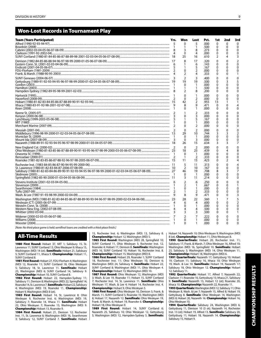### Won-Lost Records in Tournament Play

| <b>Team (Years Participated)</b>                                                                                                                                                                                               | Yrs.<br>-5 | Won<br>0<br>1<br>3<br>$\Omega$<br>25  | Lost<br>5<br>1<br>8<br>4<br>16                               | Pct.<br>.000<br>.500<br>.273<br>.000<br>.610 | 1st<br>0<br>0<br>0<br>0<br>2 | 2nd<br>$\Omega$<br>$\Omega$<br>0<br>0<br>4 | 3rd<br>$\Omega$<br>$\mathbf{0}$<br>$\mathbf{0}$<br>$\mathbf{0}$<br>3 |
|--------------------------------------------------------------------------------------------------------------------------------------------------------------------------------------------------------------------------------|------------|---------------------------------------|--------------------------------------------------------------|----------------------------------------------|------------------------------|--------------------------------------------|----------------------------------------------------------------------|
|                                                                                                                                                                                                                                |            | 8<br>0<br>2                           | 17<br>6<br>5<br>$\overline{2}$<br>4                          | .320<br>.143<br>.167<br>.000<br>.333         | 0<br>0<br>0<br>0<br>0        | 0<br>$\Omega$<br>0<br>$\Omega$<br>0        | $\overline{2}$<br>$\Omega$<br>$\Omega$<br>$\Omega$                   |
|                                                                                                                                                                                                                                |            | $\overline{2}$<br>19<br>0             | 3<br>19<br>1<br>1<br>8                                       | .400<br>.500<br>.000<br>.500<br>.200         | 0<br>0<br>0<br>0<br>0        | 0<br>3<br>0<br>0<br>$\Omega$               | 5<br>0<br>$\Omega$<br>$\Omega$                                       |
|                                                                                                                                                                                                                                |            | $\Omega$<br>0<br>42<br>8<br>0         | 1<br>$\overline{2}$<br>2<br>9<br>1                           | .000<br>.000<br>.955<br>.471<br>.000         | 0<br>0<br>13<br>0<br>0       | 0<br>0<br>0<br>0                           | <sup>0</sup><br>$\Omega$                                             |
|                                                                                                                                                                                                                                |            | 1<br>0<br>1<br>0<br>U                 | $\overline{2}$<br>3<br>5<br>1<br>$\overline{2}$              | .333<br>.000<br>.167<br>.000<br>.000         | 0<br>0<br>0<br>0<br>0        | 0<br>0<br>$\Omega$<br>$\Omega$<br>$\Omega$ | $\Omega$<br>0<br>$\Omega$<br>$\Omega$<br>$\Omega$                    |
|                                                                                                                                                                                                                                |            | $\Omega$<br>29<br>$\Omega$<br>0<br>26 | $\overline{2}$<br>10<br>1<br>3<br>15                         | .000<br>.744<br>.000<br>.000<br>.634         | 0<br>3<br>0<br>0<br>3        | $\Omega$<br>3<br>0<br>0<br>3               | $\Omega$<br>2<br>$\Omega$<br>$\Omega$<br>7                           |
| 0 metric 1 metric 1 metric 1 metric 1 metric 1 metric 1 metric 1 metric 1 metric 1 metric 1 metric 1 metric 1 metric 1 metric 1 metric 1 metric 1 metric 1 metric 1 metric 1 metric 1 metric 1 metric 1 metric 1 metric 1 metr |            | $\Omega$<br>18<br>0<br>1<br>11        | $\overline{2}$<br>23<br>$\mathbf{1}$<br>$\overline{2}$<br>15 | .000<br>.439<br>.000<br>.333<br>.423         | $\Omega$<br>0<br>0<br>0<br>0 | 0<br>4<br>0<br>0<br>2                      | 8<br>$\Omega$<br>0                                                   |
|                                                                                                                                                                                                                                |            | 5<br>2<br>46<br>$\Omega$              | 11<br>10<br>19<br>$\overline{1}$<br>11                       | .313<br>.167<br>.708<br>.000<br>.214         | 0<br>0<br>8<br>0<br>0        | 0<br>0<br>3<br>0<br>0                      | $\Omega$<br>7<br>$\Omega$<br>$\Omega$                                |
|                                                                                                                                                                                                                                |            | 8                                     | 6<br>1<br>1<br>2<br>9                                        | .250<br>.667<br>.000<br>.333<br>.471         | 0<br>0<br>0<br>0<br>0        | 0<br>0<br>0<br>0<br>0                      | U<br>0<br>$\Omega$<br>ς                                              |
|                                                                                                                                                                                                                                |            | 28<br>3                               | 22<br>4<br>1<br>4<br>3                                       | .560<br>.600<br>.000<br>.500<br>.500         | 0<br>0<br>0<br>0             | 7<br>0<br>0<br>0<br>0                      | 5<br>$\overline{2}$<br>$\Omega$<br>$\Omega$                          |
|                                                                                                                                                                                                                                |            | $\overline{\phantom{a}}$<br>0<br>0    | 7<br>1<br>1                                                  | .222<br>.000<br>.000                         | 0<br>0<br>0                  | 0<br>0<br>0                                | 0<br>0<br>0                                                          |

*[Note: No third-place game is held; semifinal losers are credited with a third-place finish.]*

### All-Time Results

1980 First Round: Hobart 37, MIT 1; Salisbury 15, St. Lawrence 11; SUNY Cortland 13, Ohio Wesleyan 9; Ithaca 15, Washington (MD) 14 (ot). Semifinals: Hobart 21, Salisbury 5; SUNY Cortland 11, Ithaca 9. Championship: Hobart 11, SUNY Cortland 8.

1981 First Round: Hobart 27, FDU-Florham 4; Washington (MD) 12, Roanoke 11; SUNY Cortland 18, Ohio Wesleyan 5; Salisbury 18, St. Lawrence 11. Semifinals: Hobart 23, Washington (MD) 6; SUNY Cortland 14, Salisbury 9. Championship: Hobart 10, SUNY Cortland 8.

1982 First Round: Hobart 22, Hampden-Sydney 11; Salisbury 11, Denison 8; Washington (MD) 22, Springfield 14; Roanoke 14, St. Lawrence 7. Semifinals: Hobart 22, Salisbury 4; Washington (MD) 19, Roanoke 11. Championship: Hobart 9, Washington (MD) 8 (ot).

1983 First Round: Hobart 14, St. Lawrence 8; Ohio Wesleyan 9, Rochester Inst. 6; Washington (MD) 19, Salisbury 7; Roanoke 14, Ithaca 11. Semifinals: Hobart 22, Ohio Wesleyan 7; Roanoke 13, Washington (MD) 9. Championship: Hobart 13, Roanoke 9.

1984 First Round: Hobart 21, Denison 12; Rochester Inst. 11, St. Lawrence 6; Washington (MD) 16, Swarthmore 3; Salisbury 12, SUNY Cortland 7. Semifinals: Hobart

15, Rochester Inst. 6; Washington (MD) 13, Salisbury 8. Championship: Hobart 12, Washington (MD) 5. 1985 First Round: Washington (MD) 28, Springfield 10;

SUNY Cortland 11, Ohio Wesleyan 5; Rochester Inst. 12, Roanoke 4; Hobart 17, Denison 8. Semifinals: Washington (MD) 16, SUNY Cortland 10; Hobart 16, Rochester Inst. 8. Championship: Hobart 15, Washington (MD) 8.

1986 First Round: Hobart 29, Roanoke 1; SUNY Cortland 18, Rochester Inst. 11; Ohio Wesleyan 10, Denison 6; Washington (MD) 24, Salisbury 4. Semifinals: Hobart 22, SUNY Cortland 8; Washington (MD) 11, Ohio Wesleyan 4. Championship: Hobart 13, Washington (MD) 10.

1987 First Round: Ohio Wesleyan 12, Washington (MD) 3; Wash. & Lee 19, Roanoke 11; Hobart 15, SUNY Cortland 7; Rochester Inst. 14, St. Lawrence 11. Semifinals: Ohio Wesleyan 17, Wash. & Lee 4; Hobart 14, Rochester Inst. 4. Championship: Hobart 9, Ohio Wesleyan 5.

1988 First Round: Ohio Wesleyan 10, Denison 5; Frank. & Marsh. 11, SUNY Cortland 5; Roanoke 10, Washington (MD) 8; Hobart 17, Nazareth 12. Semifinals: Ohio Wesleyan 19, Frank. & Marsh. 6; Hobart 19, Roanoke 6. Championship: Hobart 18, Ohio Wesleyan 9.

1989 First Round: Hobart 14, SUNY Cortland 6; Nazareth 25, Salisbury 10; Ohio Wesleyan 12, Gettysburg 5; Washington (MD) 12, Hampden-Sydney 5. Semifinals: Hobart 14, Nazareth 10; Ohio Wesleyan 9, Washington (MD) 8 (ot). Championship: Hobart 11, Ohio Wesleyan 8.

1990 Quarterfinals: Hobart 20, Rochester Inst. 11: Salisbury 17, Frank. & Marsh. 7; Ohio Wesleyan 16, Alfred 10; Washington (MD) 16, Springfield 10. Semifinals: Hobart 23, Salisbury 5; Washington (MD) 14, Ohio Wesleyan 11. Championship: Hobart 18, Washington (MD) 6.

1991 Quarterfinals: Nazareth 17, Gettysburg 10; Hobart 19, Clarkson 11; Salisbury 16, Ithaca 10; Ohio Wesleyan 19, Wash. & Lee 10. Semifinals: Hobart 19, Nazareth 17; Salisbury 18, Ohio Wesleyan 12. Championship: Hobart 12, Salisbury 11.

1992 Quarterfinals: Hobart 17, Alfred 7; Nazareth 22, Clarkson 11; Roanoke 16, Gettysburg 15; Ithaca 21, Salisbury 9. **Semifinals:** Nazareth 13, Hobart 12 (ot); Roanoke 20, Ithaca 10. Championship: Nazareth 22, Roanoke 11.

1993 Quarterfinals: Washington (MD) 12, Salisbury 11; Ohio Wesleyan 8, Wash. &Lee 7; Nazareth 15, Alfred 8; Hobart 19, Gettysburg 8. Semifinals: Ohio Wesleyan 14, Washington (MD) 8; Hobart 20, Nazareth 16. Championship: Hobart 16, Ohio Wesleyan 10.

1994 Quarterfinals: Salisbury 24, Washington (MD) 6; Gettysburg 11, Denison 10 (3 ot); Nazareth 14, Rochester Inst. 13 (ot); Hobart 19, Alfred 13. Semifinals: Salisbury 20, Gettysburg 11; Hobart 18, Nazareth 14. Championship: Salisbury 15, Hobart 9.